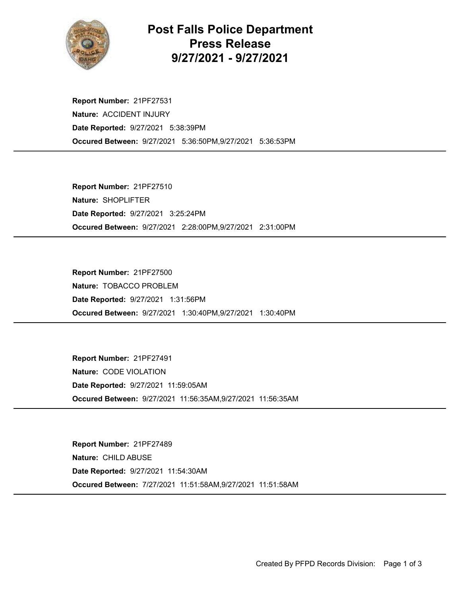

## Post Falls Police Department Press Release 9/27/2021 - 9/27/2021

Occured Between: 9/27/2021 5:36:50PM,9/27/2021 5:36:53PM Report Number: 21PF27531 Nature: ACCIDENT INJURY Date Reported: 9/27/2021 5:38:39PM

Occured Between: 9/27/2021 2:28:00PM,9/27/2021 2:31:00PM Report Number: 21PF27510 Nature: SHOPLIFTER Date Reported: 9/27/2021 3:25:24PM

Occured Between: 9/27/2021 1:30:40PM,9/27/2021 1:30:40PM Report Number: 21PF27500 Nature: TOBACCO PROBLEM Date Reported: 9/27/2021 1:31:56PM

Occured Between: 9/27/2021 11:56:35AM,9/27/2021 11:56:35AM Report Number: 21PF27491 Nature: CODE VIOLATION Date Reported: 9/27/2021 11:59:05AM

Occured Between: 7/27/2021 11:51:58AM,9/27/2021 11:51:58AM Report Number: 21PF27489 Nature: CHILD ABUSE Date Reported: 9/27/2021 11:54:30AM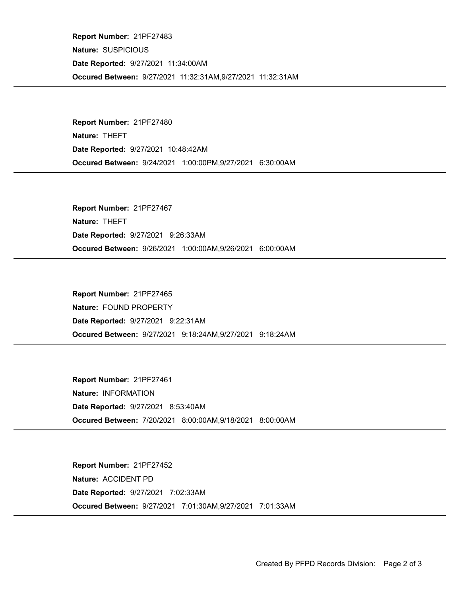Occured Between: 9/27/2021 11:32:31AM,9/27/2021 11:32:31AM Report Number: 21PF27483 Nature: SUSPICIOUS Date Reported: 9/27/2021 11:34:00AM

Occured Between: 9/24/2021 1:00:00PM,9/27/2021 6:30:00AM Report Number: 21PF27480 Nature: THEFT Date Reported: 9/27/2021 10:48:42AM

Occured Between: 9/26/2021 1:00:00AM,9/26/2021 6:00:00AM Report Number: 21PF27467 Nature: THEFT Date Reported: 9/27/2021 9:26:33AM

Occured Between: 9/27/2021 9:18:24AM,9/27/2021 9:18:24AM Report Number: 21PF27465 Nature: FOUND PROPERTY Date Reported: 9/27/2021 9:22:31AM

Occured Between: 7/20/2021 8:00:00AM,9/18/2021 8:00:00AM Report Number: 21PF27461 Nature: INFORMATION Date Reported: 9/27/2021 8:53:40AM

Occured Between: 9/27/2021 7:01:30AM,9/27/2021 7:01:33AM Report Number: 21PF27452 Nature: ACCIDENT PD Date Reported: 9/27/2021 7:02:33AM